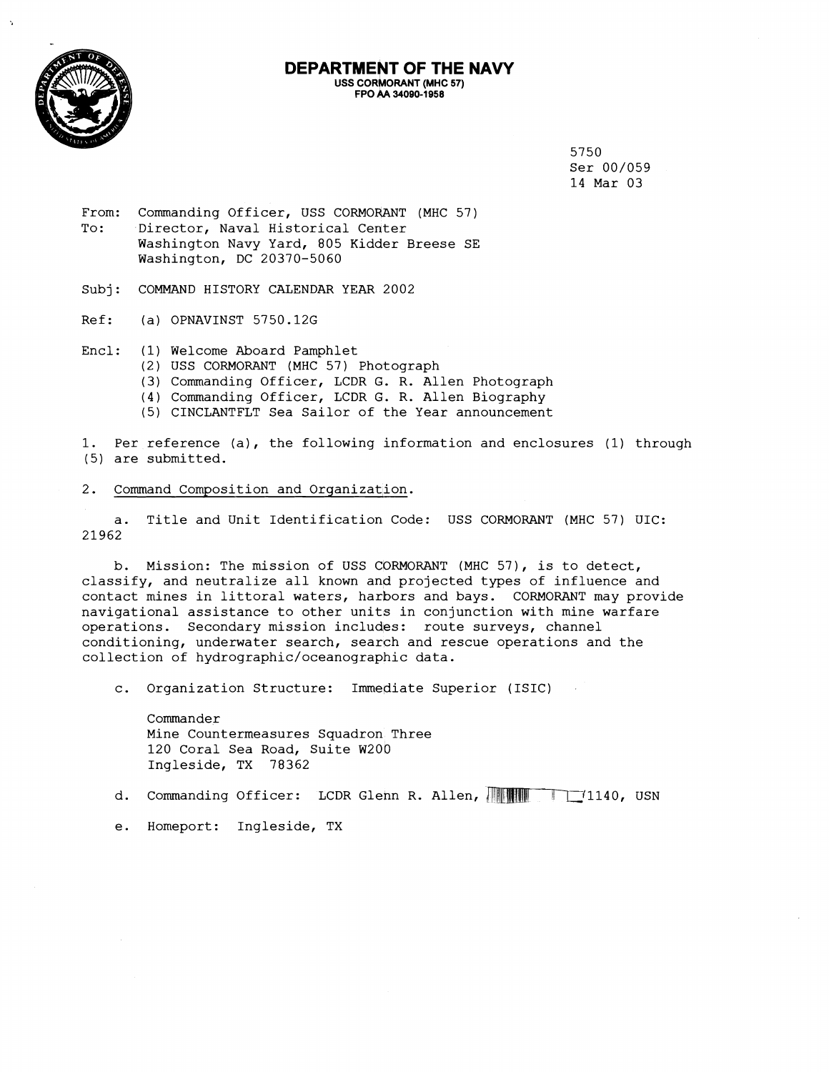

#### **DEPARTMENT OF THE NAVY USS CORMORANT (MHC 57) FW** & **34090-1958**

5750 Ser 00/059 14 Mar 03

From: Commanding Officer, USS CORMORANT (MHC 57) To: Director, Naval Historical Center Washington Navy Yard, 805 Kidder Breese SE Washington, DC 20370-5060

Subj: COMMAND HISTORY CALENDAR YEAR 2002

Ref: (a) OPNAVINST 5750.12G

Encl: (1) Welcome Aboard Pamphlet

- (2) USS CORMORANT (MHC 57) Photograph
	- (3) Commanding Officer, LCDR **C.** R. Allen Photograph
- (4) Commanding Officer, LCDR O. R. Allen Biography
- (5) CINCLANTFLT Sea Sailor of the Year announcement

1. Per reference (a), the following information and enclosures (1) through (5) are submitted.

### 2. Command Composition and Organization.

a. Title and Unit Identification Code: USS CORMORANT (MHC 57) UIC: 21962

b. Mission: The mission of USS CORMORANT (MHC 57), is to detect, classify, and neutralize all known and projected types of influence and contact mines in littoral waters, harbors and bays. CORMORANT may provide navigational assistance to other units in conjunction with mine warfare operations. Secondary mission includes: route surveys, channel conditioning, underwater search, search and rescue operations and the collection of **hydrographic/oceanographic** data.

c. Organization Structure: Immediate Superior (ISIC)

Commander Mine Countermeasures Squadron Three 120 Coral Sea Road, Suite W200 Ingleside, TX 78362

d. Commanding Officer: LCDR Glenn R. Allen, **Allent 11140**, USN

e. Homeport: Ingleside, TX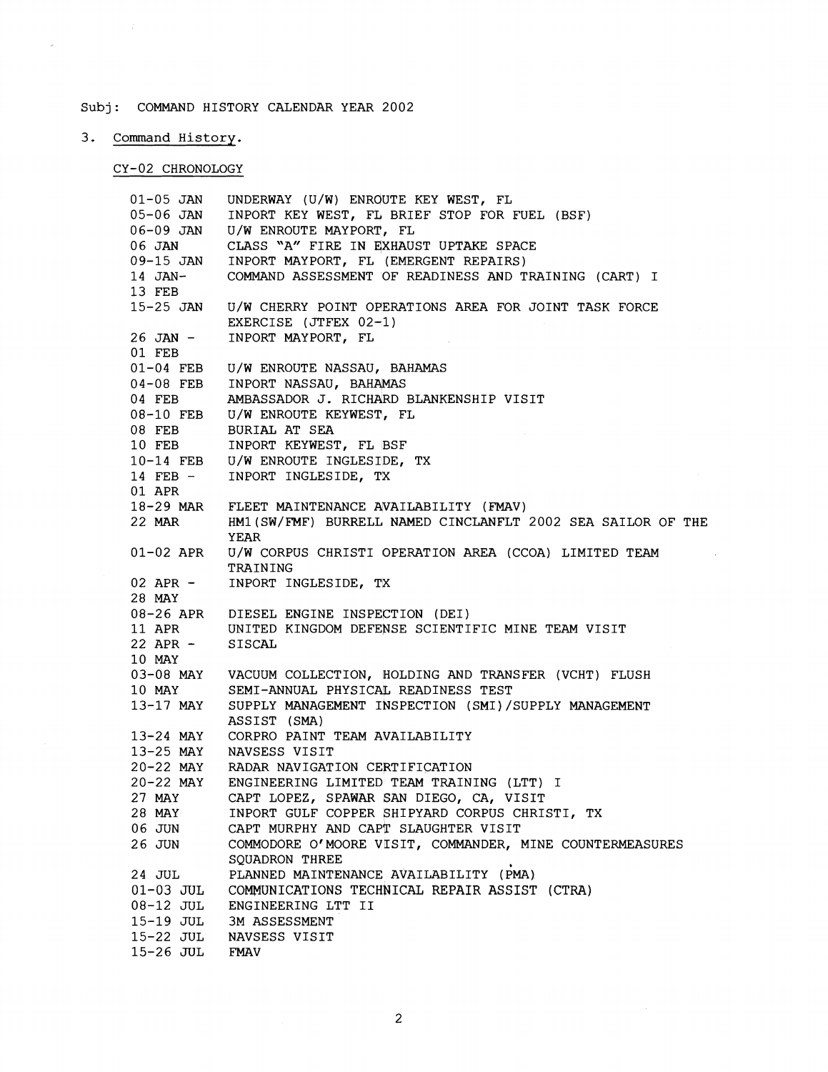# Subj: COMMAND HISTORY CALENDAR YEAR 2002

# 3. Command History.

 $\sim$ 

## CY-02 CHRONOLOGY

| $01 - 05$ JAN<br>05-06 JAN<br>06-09 JAN<br>06 JAN | UNDERWAY (U/W) ENROUTE KEY WEST, FL<br>INPORT KEY WEST, FL BRIEF STOP FOR FUEL (BSF)<br>U/W ENROUTE MAYPORT, FL<br>CLASS "A" FIRE IN EXHAUST UPTAKE SPACE<br>09-15 JAN INPORT MAYPORT, FL (EMERGENT REPAIRS) |
|---------------------------------------------------|--------------------------------------------------------------------------------------------------------------------------------------------------------------------------------------------------------------|
| 14 JAN-<br>13 FEB                                 | COMMAND ASSESSMENT OF READINESS AND TRAINING (CART) I                                                                                                                                                        |
| $15-25$ JAN<br>$26$ JAN $-$                       | U/W CHERRY POINT OPERATIONS AREA FOR JOINT TASK FORCE<br>EXERCISE (JTFEX 02-1)<br>INPORT MAYPORT, FL                                                                                                         |
| 01 FEB                                            |                                                                                                                                                                                                              |
| $01-04$ FEB                                       | U/W ENROUTE NASSAU, BAHAMAS<br>04-08 FEB INPORT NASSAU, BAHAMAS                                                                                                                                              |
| 04 FEB                                            | AMBASSADOR J. RICHARD BLANKENSHIP VISIT                                                                                                                                                                      |
|                                                   | 08-10 FEB U/W ENROUTE KEYWEST, FL                                                                                                                                                                            |
| 08 FEB                                            | BURIAL AT SEA                                                                                                                                                                                                |
|                                                   | 10 FEB INPORT KEYWEST, FL BSF                                                                                                                                                                                |
| 14 FEB -                                          | 10-14 FEB U/W ENROUTE INGLESIDE, TX<br>INPORT INGLESIDE, TX                                                                                                                                                  |
| 01 APR                                            |                                                                                                                                                                                                              |
|                                                   | 18-29 MAR FLEET MAINTENANCE AVAILABILITY (FMAV)                                                                                                                                                              |
|                                                   | 22 MAR HM1 (SW/FMF) BURRELL NAMED CINCLANFLT 2002 SEA SAILOR OF THE<br>YEAR                                                                                                                                  |
| 01-02 APR                                         | U/W CORPUS CHRISTI OPERATION AREA (CCOA) LIMITED TEAM<br>TRAINING                                                                                                                                            |
| 28 MAY                                            | 02 APR - INPORT INGLESIDE, TX                                                                                                                                                                                |
|                                                   | 08-26 APR DIESEL ENGINE INSPECTION (DEI)<br>11 APR UNITED KINGDOM DEFENSE SCIENTIFIC MINE TEAM VISIT                                                                                                         |
| 22 APR -                                          | SISCAL                                                                                                                                                                                                       |
| 10 MAY                                            |                                                                                                                                                                                                              |
|                                                   | 03-08 MAY VACUUM COLLECTION, HOLDING AND TRANSFER (VCHT) FLUSH                                                                                                                                               |
| 10 MAY                                            | SEMI-ANNUAL PHYSICAL READINESS TEST                                                                                                                                                                          |
| 13-17 MAY                                         | SUPPLY MANAGEMENT INSPECTION (SMI)/SUPPLY MANAGEMENT<br>ASSIST (SMA)                                                                                                                                         |
| 13-24 MAY                                         | CORPRO PAINT TEAM AVAILABILITY                                                                                                                                                                               |
| 13-25 MAY                                         | NAVSESS VISIT                                                                                                                                                                                                |
|                                                   | 20-22 MAY RADAR NAVIGATION CERTIFICATION                                                                                                                                                                     |
|                                                   | 20-22 MAY ENGINEERING LIMITED TEAM TRAINING (LTT) I                                                                                                                                                          |
| 27 MAY<br>28 MAY                                  | CAPT LOPEZ, SPAWAR SAN DIEGO, CA, VISIT<br>INPORT GULF COPPER SHIPYARD CORPUS CHRISTI, TX                                                                                                                    |
| 06 JUN                                            | CAPT MURPHY AND CAPT SLAUGHTER VISIT                                                                                                                                                                         |
| 26 JUN                                            | COMMODORE O'MOORE VISIT, COMMANDER, MINE COUNTERMEASURES<br>SQUADRON THREE                                                                                                                                   |
| 24 JUL                                            | PLANNED MAINTENANCE AVAILABILITY (PMA)                                                                                                                                                                       |
| $01-03$ JUL                                       | COMMUNICATIONS TECHNICAL REPAIR ASSIST (CTRA)                                                                                                                                                                |
| 08-12 JUL<br>$15-19$ JUL                          | ENGINEERING LTT II<br><b>3M ASSESSMENT</b>                                                                                                                                                                   |
| 15-22 JUL                                         | NAVSESS VISIT                                                                                                                                                                                                |
| 15-26 JUL                                         | FMAV                                                                                                                                                                                                         |
|                                                   |                                                                                                                                                                                                              |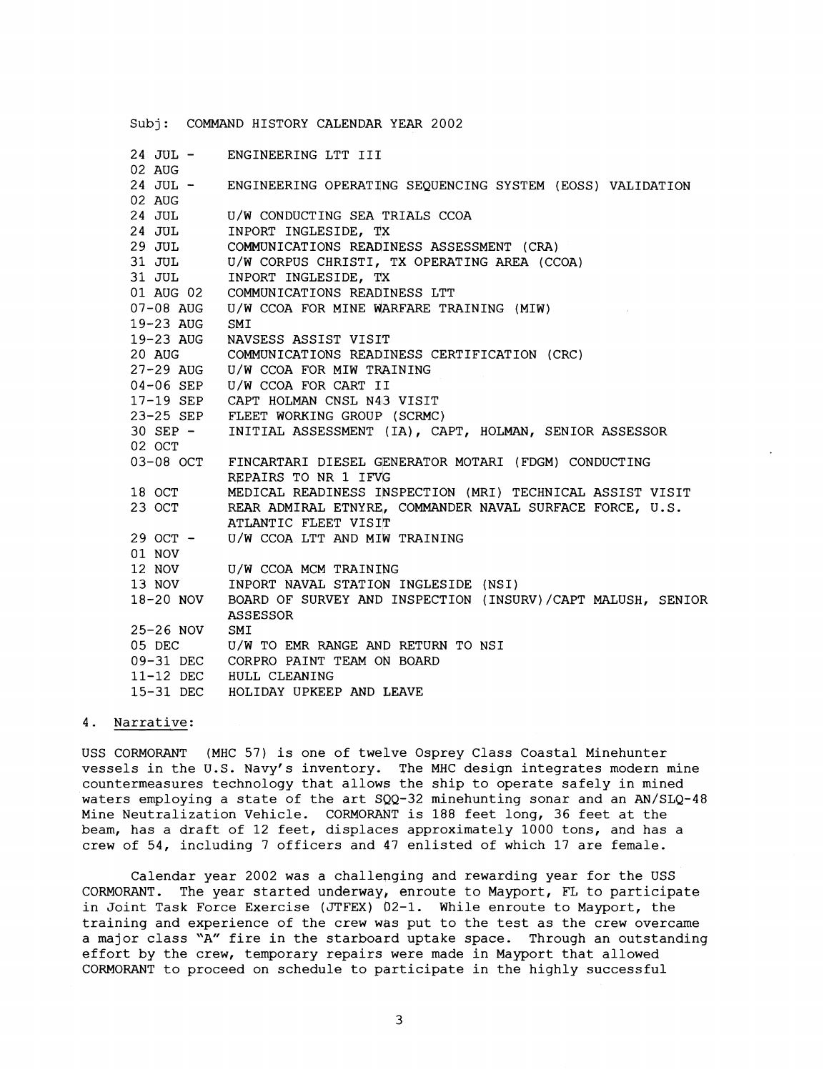|              | Subj: COMMAND HISTORY CALENDAR YEAR 2002                    |
|--------------|-------------------------------------------------------------|
| 24 JUL –     | ENGINEERING LTT III                                         |
| 02 AUG       |                                                             |
| 24 JUL -     | ENGINEERING OPERATING SEQUENCING SYSTEM (EOSS) VALIDATION   |
| 02 AUG       |                                                             |
| 24 JUL       | U/W CONDUCTING SEA TRIALS CCOA                              |
| 24 JUL       | INPORT INGLESIDE, TX                                        |
| 29 JUL       | COMMUNICATIONS READINESS ASSESSMENT (CRA)                   |
| 31 JUL       | U/W CORPUS CHRISTI, TX OPERATING AREA (CCOA)                |
| 31 JUL       | INPORT INGLESIDE, TX                                        |
| 01 AUG 02    | COMMUNICATIONS READINESS LTT                                |
| 07-08 AUG    | U/W CCOA FOR MINE WARFARE TRAINING (MIW)                    |
| 19-23 AUG    | SMI                                                         |
| 19-23 AUG    | NAVSESS ASSIST VISIT                                        |
| 20 AUG       | COMMUNICATIONS READINESS CERTIFICATION (CRC)                |
|              | 27-29 AUG U/W CCOA FOR MIW TRAINING                         |
|              | 04-06 SEP U/W CCOA FOR CART II                              |
|              | 17-19 SEP CAPT HOLMAN CNSL N43 VISIT                        |
|              | 23-25 SEP FLEET WORKING GROUP (SCRMC)                       |
| $30$ SEP $-$ | INITIAL ASSESSMENT (IA), CAPT, HOLMAN, SENIOR ASSESSOR      |
| 02 OCT       |                                                             |
| 03-08 OCT    | FINCARTARI DIESEL GENERATOR MOTARI (FDGM) CONDUCTING        |
|              | REPAIRS TO NR 1 IFVG                                        |
| 18 OCT       | MEDICAL READINESS INSPECTION (MRI) TECHNICAL ASSIST VISIT   |
| 23 OCT       | REAR ADMIRAL ETNYRE, COMMANDER NAVAL SURFACE FORCE, U.S.    |
|              | ATLANTIC FLEET VISIT                                        |
| 29 OCT -     | U/W CCOA LTT AND MIW TRAINING                               |
| 01 NOV       |                                                             |
| 12 NOV       | U/W CCOA MCM TRAINING                                       |
| 13 NOV       | INPORT NAVAL STATION INGLESIDE (NSI)                        |
| 18-20 NOV    | BOARD OF SURVEY AND INSPECTION (INSURV)/CAPT MALUSH, SENIOR |
|              | <b>ASSESSOR</b>                                             |
| 25-26 NOV    | SMI                                                         |
| 05 DEC       | U/W TO EMR RANGE AND RETURN TO NSI                          |
|              | 09-31 DEC CORPRO PAINT TEAM ON BOARD                        |
|              | 11-12 DEC HULL CLEANING                                     |
| 15-31 DEC    | HOLIDAY UPKEEP AND LEAVE                                    |

### 4. Narrative:

USS CORMORANT (MHC 57) is one of twelve Osprey Class Coastal Minehunter vessels in the U.S. Navy's inventory. The MHC design integrates modern mine countermeasures technology that allows the ship to operate safely in mined waters employing a state of the art SQQ-32 minehunting sonar and an AN/SLQ-48 Mine Neutralization Vehicle. CORMORANT is 188 feet long, 36 feet at the beam, has a draft of 12 feet, displaces approximately 1000 tons, and has a crew of 54, including 7 officers and 47 enlisted of which 17 are female.

Calendar year 2002 was a challenging and rewarding year for the USS CORMORANT. The year started underway, enroute to Mayport, FL to participate in Joint Task Force Exercise (JTFEX) 02-1. While enroute to Mayport, the training and experience of the crew was put to the test as the crew overcame a major class "A" fire in the starboard uptake space. Through an outstanding effort by the crew, temporary repairs were made in Mayport that allowed CORMORANT to proceed on schedule to participate in the highly successful